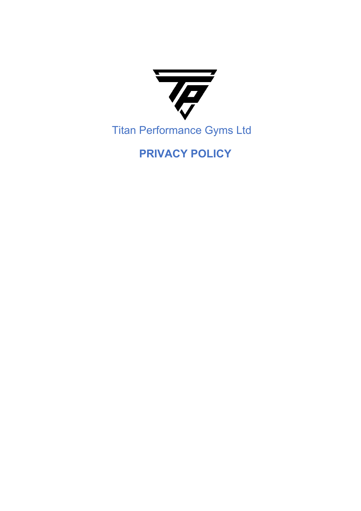

# **PRIVACY POLICY**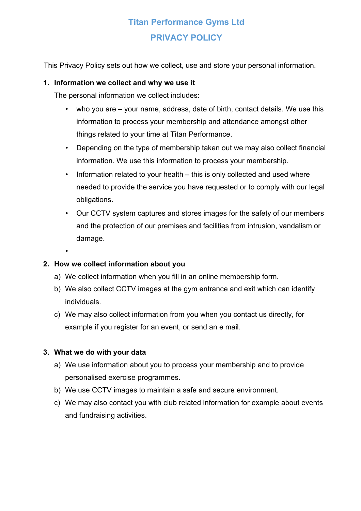# **Titan Performance Gyms Ltd PRIVACY POLICY**

This Privacy Policy sets out how we collect, use and store your personal information.

#### **1. Information we collect and why we use it**

The personal information we collect includes:

- who you are your name, address, date of birth, contact details. We use this information to process your membership and attendance amongst other things related to your time at Titan Performance.
- Depending on the type of membership taken out we may also collect financial information. We use this information to process your membership.
- Information related to your health this is only collected and used where needed to provide the service you have requested or to comply with our legal obligations.
- Our CCTV system captures and stores images for the safety of our members and the protection of our premises and facilities from intrusion, vandalism or damage.
- •

# **2. How we collect information about you**

- a) We collect information when you fill in an online membership form.
- b) We also collect CCTV images at the gym entrance and exit which can identify individuals.
- c) We may also collect information from you when you contact us directly, for example if you register for an event, or send an e mail.

#### **3. What we do with your data**

- a) We use information about you to process your membership and to provide personalised exercise programmes.
- b) We use CCTV images to maintain a safe and secure environment.
- c) We may also contact you with club related information for example about events and fundraising activities.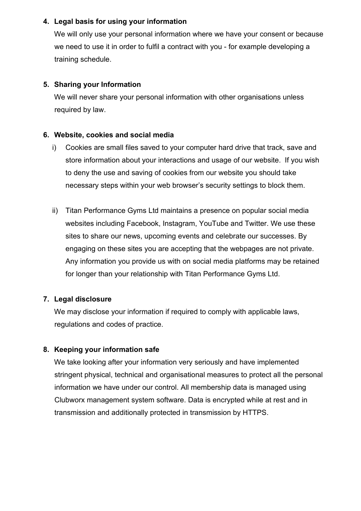#### **4. Legal basis for using your information**

We will only use your personal information where we have your consent or because we need to use it in order to fulfil a contract with you - for example developing a training schedule.

### **5. Sharing your Information**

We will never share your personal information with other organisations unless required by law.

#### **6. Website, cookies and social media**

- i) Cookies are small files saved to your computer hard drive that track, save and store information about your interactions and usage of our website. If you wish to deny the use and saving of cookies from our website you should take necessary steps within your web browser's security settings to block them.
- ii) Titan Performance Gyms Ltd maintains a presence on popular social media websites including Facebook, Instagram, YouTube and Twitter. We use these sites to share our news, upcoming events and celebrate our successes. By engaging on these sites you are accepting that the webpages are not private. Any information you provide us with on social media platforms may be retained for longer than your relationship with Titan Performance Gyms Ltd.

# **7. Legal disclosure**

We may disclose your information if required to comply with applicable laws, regulations and codes of practice.

# **8. Keeping your information safe**

We take looking after your information very seriously and have implemented stringent physical, technical and organisational measures to protect all the personal information we have under our control. All membership data is managed using Clubworx management system software. Data is encrypted while at rest and in transmission and additionally protected in transmission by HTTPS.